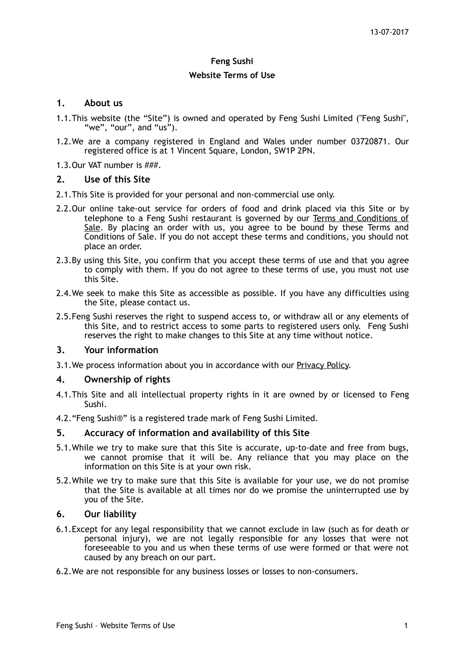# **Feng Sushi**

#### **Website Terms of Use**

### **1. About us**

- 1.1.This website (the "Site") is owned and operated by Feng Sushi Limited ("Feng Sushi", "we", "our", and "us").
- 1.2.We are a company registered in England and Wales under number 03720871. Our registered office is at 1 Vincent Square, London, SW1P 2PN.
- 1.3.Our VAT number is ###.

## **2. Use of this Site**

- 2.1.This Site is provided for your personal and non-commercial use only.
- 2.2.Our online take-out service for orders of food and drink placed via this Site or by telephone to a Feng Sushi restaurant is governed by our Terms and Conditions of Sale. By placing an order with us, you agree to be bound by these Terms and Conditions of Sale. If you do not accept these terms and conditions, you should not place an order.
- 2.3.By using this Site, you confirm that you accept these terms of use and that you agree to comply with them. If you do not agree to these terms of use, you must not use this Site.
- 2.4.We seek to make this Site as accessible as possible. If you have any difficulties using the Site, please contact us.
- 2.5.Feng Sushi reserves the right to suspend access to, or withdraw all or any elements of this Site, and to restrict access to some parts to registered users only. Feng Sushi reserves the right to make changes to this Site at any time without notice.

### **3. Your information**

3.1.We process information about you in accordance with our Privacy Policy.

### **4. Ownership of rights**

- 4.1.This Site and all intellectual property rights in it are owned by or licensed to Feng Sushi.
- 4.2."Feng Sushi®" is a registered trade mark of Feng Sushi Limited.

### **5. Accuracy of information and availability of this Site**

- 5.1.While we try to make sure that this Site is accurate, up-to-date and free from bugs, we cannot promise that it will be. Any reliance that you may place on the information on this Site is at your own risk.
- 5.2.While we try to make sure that this Site is available for your use, we do not promise that the Site is available at all times nor do we promise the uninterrupted use by you of the Site.

### **6. Our liability**

- 6.1.Except for any legal responsibility that we cannot exclude in law (such as for death or personal injury), we are not legally responsible for any losses that were not foreseeable to you and us when these terms of use were formed or that were not caused by any breach on our part.
- 6.2.We are not responsible for any business losses or losses to non-consumers.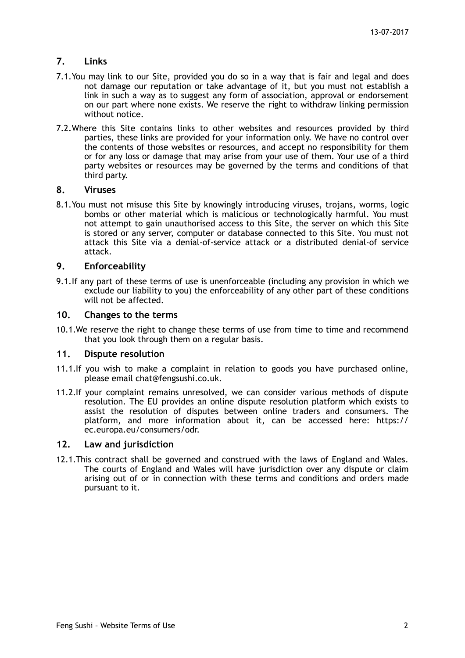# **7. Links**

- 7.1.You may link to our Site, provided you do so in a way that is fair and legal and does not damage our reputation or take advantage of it, but you must not establish a link in such a way as to suggest any form of association, approval or endorsement on our part where none exists. We reserve the right to withdraw linking permission without notice.
- 7.2.Where this Site contains links to other websites and resources provided by third parties, these links are provided for your information only. We have no control over the contents of those websites or resources, and accept no responsibility for them or for any loss or damage that may arise from your use of them. Your use of a third party websites or resources may be governed by the terms and conditions of that third party.

### **8. Viruses**

8.1.You must not misuse this Site by knowingly introducing viruses, trojans, worms, logic bombs or other material which is malicious or technologically harmful. You must not attempt to gain unauthorised access to this Site, the server on which this Site is stored or any server, computer or database connected to this Site. You must not attack this Site via a denial-of-service attack or a distributed denial-of service attack.

## **9. Enforceability**

9.1.If any part of these terms of use is unenforceable (including any provision in which we exclude our liability to you) the enforceability of any other part of these conditions will not be affected.

### **10. Changes to the terms**

10.1.We reserve the right to change these terms of use from time to time and recommend that you look through them on a regular basis.

### **11. Dispute resolution**

- 11.1.If you wish to make a complaint in relation to goods you have purchased online, please email [chat@fengsushi.co.uk](mailto:chat@fengsushi.co.uk).
- 11.2.If your complaint remains unresolved, we can consider various methods of dispute resolution. The EU provides an online dispute resolution platform which exists to assist the resolution of disputes between online traders and consumers. The platform, and more information about it, can be accessed here: [https://](https://ec.europa.eu/consumers/odr/main/index.cfm?event=main.home.chooseLanguage) [ec.europa.eu/consumers/odr.](https://ec.europa.eu/consumers/odr/main/index.cfm?event=main.home.chooseLanguage)

### **12. Law and jurisdiction**

12.1.This contract shall be governed and construed with the laws of England and Wales. The courts of England and Wales will have jurisdiction over any dispute or claim arising out of or in connection with these terms and conditions and orders made pursuant to it.